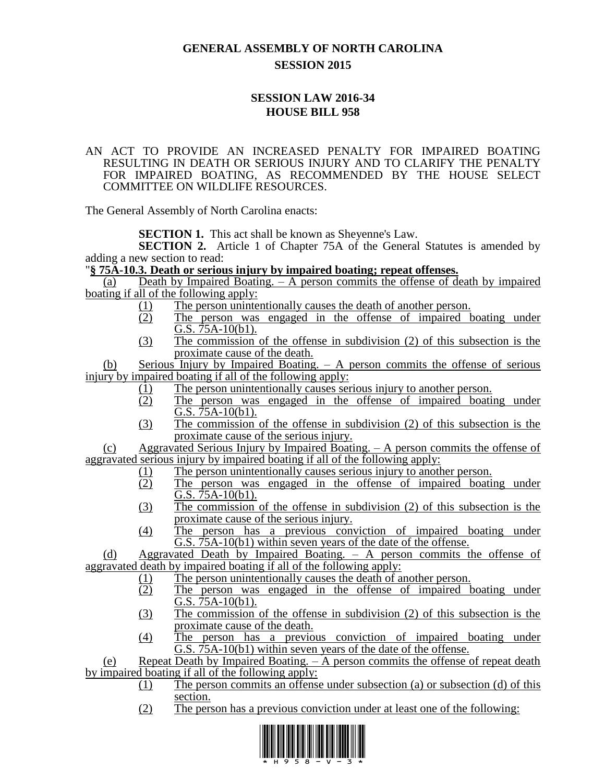## **GENERAL ASSEMBLY OF NORTH CAROLINA SESSION 2015**

## **SESSION LAW 2016-34 HOUSE BILL 958**

## AN ACT TO PROVIDE AN INCREASED PENALTY FOR IMPAIRED BOATING RESULTING IN DEATH OR SERIOUS INJURY AND TO CLARIFY THE PENALTY FOR IMPAIRED BOATING, AS RECOMMENDED BY THE HOUSE SELECT COMMITTEE ON WILDLIFE RESOURCES.

The General Assembly of North Carolina enacts:

**SECTION 1.** This act shall be known as Sheyenne's Law.

**SECTION 2.** Article 1 of Chapter 75A of the General Statutes is amended by adding a new section to read:

## "**§ 75A-10.3. Death or serious injury by impaired boating; repeat offenses.**

(a) Death by Impaired Boating. – A person commits the offense of death by impaired boating if all of the following apply:

- (1) The person unintentionally causes the death of another person.
- (2) The person was engaged in the offense of impaired boating under G.S. 75A-10(b1).
- (3) The commission of the offense in subdivision (2) of this subsection is the proximate cause of the death.

(b) Serious Injury by Impaired Boating. – A person commits the offense of serious injury by impaired boating if all of the following apply:

- (1) The person unintentionally causes serious injury to another person.<br>
(2) The person was engaged in the offense of impaired boatis
- The person was engaged in the offense of impaired boating under  $\overline{G.S. 75A-10(b1)}$ .
- (3) The commission of the offense in subdivision (2) of this subsection is the proximate cause of the serious injury.

(c) Aggravated Serious Injury by Impaired Boating. – A person commits the offense of aggravated serious injury by impaired boating if all of the following apply:

- (1) The person unintentionally causes serious injury to another person.<br>
(2) The person was engaged in the offense of impaired boatis
- The person was engaged in the offense of impaired boating under  $\overline{G.S. 75A-10(b1)}$ .
- (3) The commission of the offense in subdivision (2) of this subsection is the proximate cause of the serious injury.
- (4) The person has a previous conviction of impaired boating under G.S. 75A-10(b1) within seven years of the date of the offense.

(d) Aggravated Death by Impaired Boating. – A person commits the offense of aggravated death by impaired boating if all of the following apply:

- (1) The person unintentionally causes the death of another person.
- (2) The person was engaged in the offense of impaired boating under G.S. 75A-10(b1).
- (3) The commission of the offense in subdivision (2) of this subsection is the proximate cause of the death.
- (4) The person has a previous conviction of impaired boating under G.S. 75A-10(b1) within seven years of the date of the offense.

(e) Repeat Death by Impaired Boating. – A person commits the offense of repeat death by impaired boating if all of the following apply:

- (1) The person commits an offense under subsection (a) or subsection (d) of this section.
- (2) The person has a previous conviction under at least one of the following: